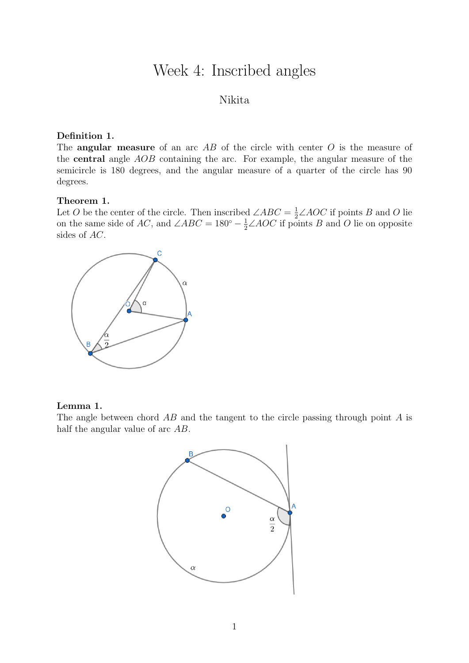# Week 4: Inscribed angles

#### Nikita

#### Definition 1.

The **angular measure** of an arc  $AB$  of the circle with center  $O$  is the measure of the central angle AOB containing the arc. For example, the angular measure of the semicircle is 180 degrees, and the angular measure of a quarter of the circle has 90 degrees.

#### Theorem 1.

Let O be the center of the circle. Then inscribed  $\angle ABC = \frac{1}{2} \angle AOC$  if points B and O lie on the same side of AC, and  $\angle ABC = 180^\circ - \frac{1}{2} \angle AOC$  if points B and O lie on opposite sides of AC.



#### Lemma 1.

The angle between chord  $AB$  and the tangent to the circle passing through point A is half the angular value of arc AB.